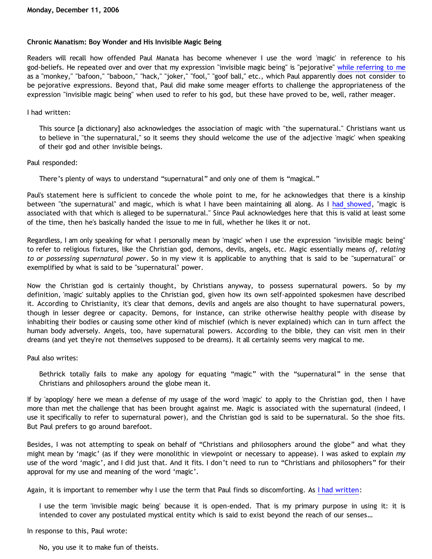## **Chronic Manatism: Boy Wonder and His Invisible Magic Being**

Readers will recall how offended Paul Manata has become whenever I use the word 'magic' in reference to his god-beliefs. He repeated over and over that my expression "invisible magic being" is "pejorative" [while referring to me](http://bahnsenburner.blogspot.com/2006/11/do-unto-others_23.html) as a "monkey," "bafoon," "baboon," "hack," "joker," "fool," "goof ball," etc., which Paul apparently does not consider to be pejorative expressions. Beyond that, Paul did make some meager efforts to challenge the appropriateness of the expression "invisible magic being" when used to refer to his god, but these have proved to be, well, rather meager.

I had written:

This source [a dictionary] also acknowledges the association of magic with "the supernatural." Christians want us to believe in "the supernatural," so it seems they should welcome the use of the adjective 'magic' when speaking of their god and other invisible beings.

Paul responded:

There's plenty of ways to understand "supernatural" and only one of them is "magical."

Paul's statement here is sufficient to concede the whole point to me, for he acknowledges that there is a kinship between "the supernatural" and magic, which is what I have been maintaining all along. As I [had showed,](http://bahnsenburner.blogspot.com/2006/10/is-expression-invisible-magic-being.html) "magic is associated with that which is alleged to be supernatural." Since Paul acknowledges here that this is valid at least some of the time, then he's basically handed the issue to me in full, whether he likes it or not.

Regardless, I am only speaking for what I personally mean by 'magic' when I use the expression "invisible magic being" to refer to religious fixtures, like the Christian god, demons, devils, angels, etc. Magic essentially means *of, relating to or possessing supernatural power*. So in my view it is applicable to anything that is said to be "supernatural" or exemplified by what is said to be "supernatural" power.

Now the Christian god is certainly thought, by Christians anyway, to possess supernatural powers. So by my definition, 'magic' suitably applies to the Christian god, given how its own self-appointed spokesmen have described it. According to Christianity, it's clear that demons, devils and angels are also thought to have supernatural powers, though in lesser degree or capacity. Demons, for instance, can strike otherwise healthy people with disease by inhabiting their bodies or causing some other kind of mischief (which is never explained) which can in turn affect the human body adversely. Angels, too, have supernatural powers. According to the bible, they can visit men in their dreams (and yet they're not themselves supposed to be dreams). It all certainly seems very magical to me.

Paul also writes:

Bethrick totally fails to make any apology for equating "magic" with the "supernatural" in the sense that Christians and philosophers around the globe mean it.

If by 'apoplogy' here we mean a defense of my usage of the word 'magic' to apply to the Christian god, then I have more than met the challenge that has been brought against me. Magic is associated with the supernatural (indeed, I use it specifically to refer to supernatural power), and the Christian god is said to be supernatural. So the shoe fits. But Paul prefers to go around barefoot.

Besides, I was not attempting to speak on behalf of "Christians and philosophers around the globe" and what they might mean by 'magic' (as if they were monolithic in viewpoint or necessary to appease). I was asked to explain *my* use of the word 'magic', and I did just that. And it fits. I don't need to run to "Christians and philosophers" for their approval for my use and meaning of the word 'magic'.

Again, it is important to remember why I use the term that Paul finds so discomforting. As [I had written:](http://bahnsenburner.blogspot.com/2006/10/those-delicate-christian-sensibilities.html)

I use the term 'invisible magic being' because it is open-ended. That is my primary purpose in using it: it is intended to cover any postulated mystical entity which is said to exist beyond the reach of our senses…

In response to this, Paul wrote:

No, you use it to make fun of theists.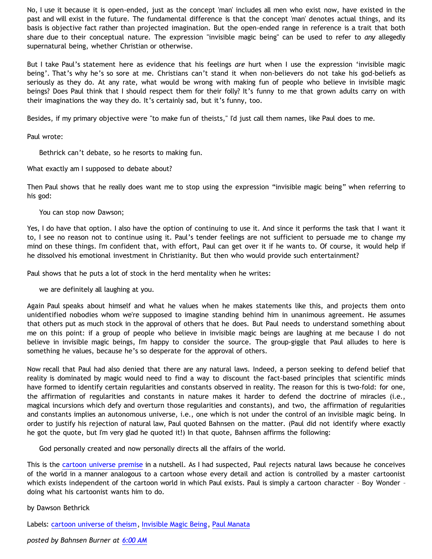No, I use it because it is open-ended, just as the concept 'man' includes all men who exist now, have existed in the past and will exist in the future. The fundamental difference is that the concept 'man' denotes actual things, and its basis is objective fact rather than projected imagination. But the open-ended range in reference is a trait that both share due to their conceptual nature. The expression "invisible magic being" can be used to refer to *any* allegedly supernatural being, whether Christian or otherwise.

But I take Paul's statement here as evidence that his feelings *are* hurt when I use the expression 'invisible magic being'. That's why he's so sore at me. Christians can't stand it when non-believers do not take his god-beliefs as seriously as they do. At any rate, what would be wrong with making fun of people who believe in invisible magic beings? Does Paul think that I should respect them for their folly? It's funny to me that grown adults carry on with their imaginations the way they do. It's certainly sad, but it's funny, too.

Besides, if my primary objective were "to make fun of theists," I'd just call them names, like Paul does to me.

Paul wrote:

Bethrick can't debate, so he resorts to making fun.

What exactly am I supposed to debate about?

Then Paul shows that he really does want me to stop using the expression "invisible magic being" when referring to his god:

You can stop now Dawson;

Yes, I do have that option. I also have the option of continuing to use it. And since it performs the task that I want it to, I see no reason not to continue using it. Paul's tender feelings are not sufficient to persuade me to change my mind on these things. I'm confident that, with effort, Paul can get over it if he wants to. Of course, it would help if he dissolved his emotional investment in Christianity. But then who would provide such entertainment?

Paul shows that he puts a lot of stock in the herd mentality when he writes:

we are definitely all laughing at you.

Again Paul speaks about himself and what he values when he makes statements like this, and projects them onto unidentified nobodies whom we're supposed to imagine standing behind him in unanimous agreement. He assumes that others put as much stock in the approval of others that he does. But Paul needs to understand something about me on this point: if a group of people who believe in invisible magic beings are laughing at me because I do not believe in invisible magic beings, I'm happy to consider the source. The group-giggle that Paul alludes to here is something he values, because he's so desperate for the approval of others.

Now recall that Paul had also denied that there are any natural laws. Indeed, a person seeking to defend belief that reality is dominated by magic would need to find a way to discount the fact-based principles that scientific minds have formed to identify certain regularities and constants observed in reality. The reason for this is two-fold: for one, the affirmation of regularities and constants in nature makes it harder to defend the doctrine of miracles (i.e., magical incursions which defy and overturn those regularities and constants), and two, the affirmation of regularities and constants implies an autonomous universe, i.e., one which is not under the control of an invisible magic being. In order to justify his rejection of natural law, Paul quoted Bahnsen on the matter. (Paul did not identify where exactly he got the quote, but I'm very glad he quoted it!) In that quote, Bahnsen affirms the following:

God personally created and now personally directs all the affairs of the world.

This is the [cartoon universe premise](http://www.strongatheism.net/library/atheology/cartoon_universe_of_theism/) in a nutshell. As I had suspected, Paul rejects natural laws because he conceives of the world in a manner analogous to a cartoon whose every detail and action is controlled by a master cartoonist which exists independent of the cartoon world in which Paul exists. Paul is simply a cartoon character – Boy Wonder – doing what his cartoonist wants him to do.

by Dawson Bethrick

Labels: [cartoon universe of theism,](http://bahnsenburner.blogspot.com/search/label/cartoon%20universe%20of%20theism) [Invisible Magic Being](http://bahnsenburner.blogspot.com/search/label/Invisible%20Magic%20Being), [Paul Manata](http://bahnsenburner.blogspot.com/search/label/Paul%20Manata)

*posted by Bahnsen Burner at [6:00 AM](http://bahnsenburner.blogspot.com/2006/12/chronic-manatism-boy-wonder-and-his.html)*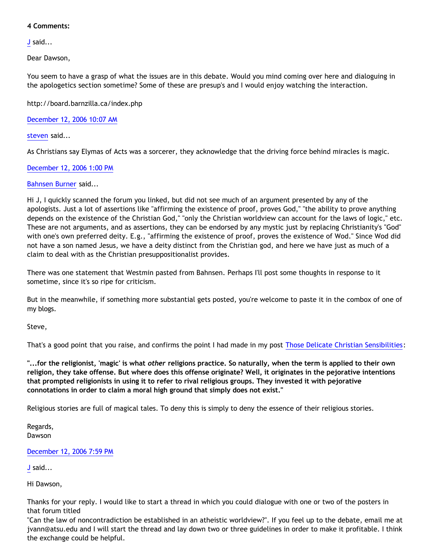## **4 Comments:**

[J](http://www.blogger.com/profile/17151748217624003992) said...

Dear Dawson,

You seem to have a grasp of what the issues are in this debate. Would you mind coming over here and dialoguing in the apologetics section sometime? Some of these are presup's and I would enjoy watching the interaction.

<http://board.barnzilla.ca/index.php>

[December 12, 2006 10:07 AM](http://bahnsenburner.blogspot.com/2006/12/5712771598214200230)

[steven](http://www.blogger.com/profile/11983601793874190779) said...

As Christians say Elymas of Acts was a sorcerer, they acknowledge that the driving force behind miracles is magic.

[December 12, 2006 1:00 PM](http://bahnsenburner.blogspot.com/2006/12/6360203722355955115)

## [Bahnsen Burner](http://www.blogger.com/profile/11030029491768748360) said...

Hi J, I quickly scanned the forum you linked, but did not see much of an argument presented by any of the apologists. Just a lot of assertions like "affirming the existence of proof, proves God," "the ability to prove anything depends on the existence of the Christian God," "only the Christian worldview can account for the laws of logic," etc. These are not arguments, and as assertions, they can be endorsed by any mystic just by replacing Christianity's "God" with one's own preferred deity. E.g., "affirming the existence of proof, proves the existence of Wod." Since Wod did not have a son named Jesus, we have a deity distinct from the Christian god, and here we have just as much of a claim to deal with as the Christian presuppositionalist provides.

There was one statement that Westmin pasted from Bahnsen. Perhaps I'll post some thoughts in response to it sometime, since it's so ripe for criticism.

But in the meanwhile, if something more substantial gets posted, you're welcome to paste it in the combox of one of my blogs.

Steve,

That's a good point that you raise, and confirms the point I had made in my post [Those Delicate Christian Sensibilities:](http://bahnsenburner.blogspot.com/2006/10/those-delicate-christian-sensibilities.html)

**"...for the religionist, 'magic' is what** *other* **religions practice. So naturally, when the term is applied to their own religion, they take offense. But where does this offense originate? Well, it originates in the pejorative intentions that prompted religionists in using it to refer to rival religious groups. They invested it with pejorative connotations in order to claim a moral high ground that simply does not exist."**

Religious stories are full of magical tales. To deny this is simply to deny the essence of their religious stories.

Regards, Dawson

[December 12, 2006 7:59 PM](http://bahnsenburner.blogspot.com/2006/12/2187072277296394320)

[J](http://www.blogger.com/profile/17151748217624003992) said...

Hi Dawson,

Thanks for your reply. I would like to start a thread in which you could dialogue with one or two of the posters in that forum titled

"Can the law of noncontradiction be established in an atheistic worldview?". If you feel up to the debate, email me at jvann@atsu.edu and I will start the thread and lay down two or three guidelines in order to make it profitable. I think the exchange could be helpful.